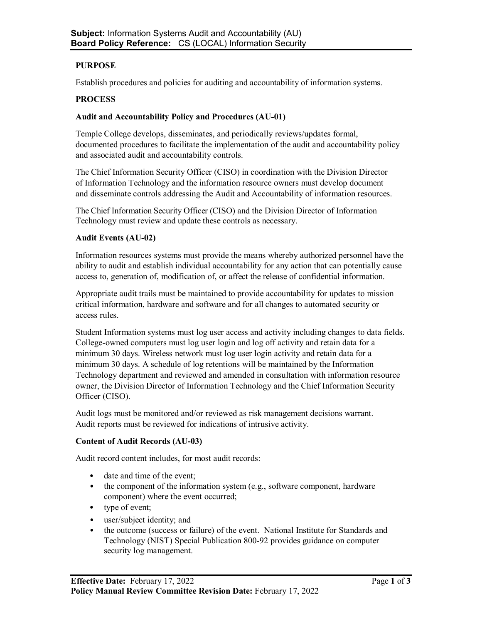# **PURPOSE**

Establish procedures and policies for auditing and accountability of information systems.

#### **PROCESS**

#### **Audit and Accountability Policy and Procedures (AU-01)**

Temple College develops, disseminates, and periodically reviews/updates formal, documented procedures to facilitate the implementation of the audit and accountability policy and associated audit and accountability controls.

The Chief Information Security Officer (CISO) in coordination with the Division Director of Information Technology and the information resource owners must develop document and disseminate controls addressing the Audit and Accountability of information resources.

The Chief Information Security Officer (CISO) and the Division Director of Information Technology must review and update these controls as necessary.

#### **Audit Events (AU-02)**

Information resources systems must provide the means whereby authorized personnel have the ability to audit and establish individual accountability for any action that can potentially cause access to, generation of, modification of, or affect the release of confidential information.

Appropriate audit trails must be maintained to provide accountability for updates to mission critical information, hardware and software and for all changes to automated security or access rules.

Student Information systems must log user access and activity including changes to data fields. College-owned computers must log user login and log off activity and retain data for a minimum 30 days. Wireless network must log user login activity and retain data for a minimum 30 days. A schedule of log retentions will be maintained by the Information Technology department and reviewed and amended in consultation with information resource owner, the Division Director of Information Technology and the Chief Information Security Officer (CISO).

Audit logs must be monitored and/or reviewed as risk management decisions warrant. Audit reports must be reviewed for indications of intrusive activity.

### **Content of Audit Records (AU-03)**

Audit record content includes, for most audit records:

- date and time of the event;
- the component of the information system (e.g., software component, hardware component) where the event occurred;
- type of event;
- user/subject identity; and
- the outcome (success or failure) of the event. National Institute for Standards and Technology (NIST) Special Publication 800-92 provides guidance on computer security log management.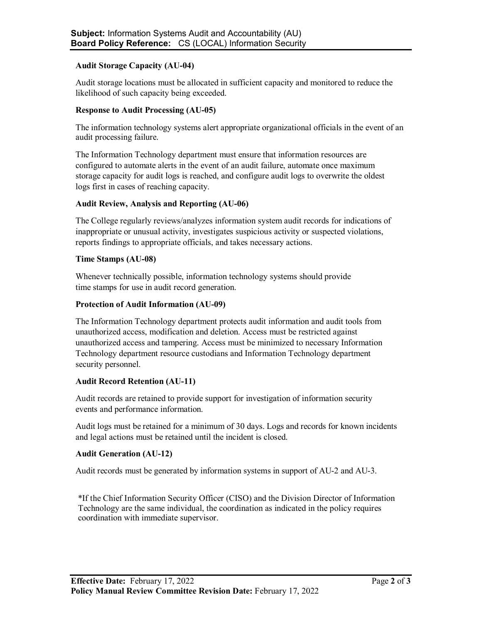### **Audit Storage Capacity (AU-04)**

Audit storage locations must be allocated in sufficient capacity and monitored to reduce the likelihood of such capacity being exceeded.

### **Response to Audit Processing (AU-05)**

The information technology systems alert appropriate organizational officials in the event of an audit processing failure.

The Information Technology department must ensure that information resources are configured to automate alerts in the event of an audit failure, automate once maximum storage capacity for audit logs is reached, and configure audit logs to overwrite the oldest logs first in cases of reaching capacity.

# **Audit Review, Analysis and Reporting (AU-06)**

The College regularly reviews/analyzes information system audit records for indications of inappropriate or unusual activity, investigates suspicious activity or suspected violations, reports findings to appropriate officials, and takes necessary actions.

# **Time Stamps (AU-08)**

Whenever technically possible, information technology systems should provide time stamps for use in audit record generation.

### **Protection of Audit Information (AU-09)**

The Information Technology department protects audit information and audit tools from unauthorized access, modification and deletion. Access must be restricted against unauthorized access and tampering. Access must be minimized to necessary Information Technology department resource custodians and Information Technology department security personnel.

# **Audit Record Retention (AU-11)**

Audit records are retained to provide support for investigation of information security events and performance information.

Audit logs must be retained for a minimum of 30 days. Logs and records for known incidents and legal actions must be retained until the incident is closed.

### **Audit Generation (AU-12)**

Audit records must be generated by information systems in support of AU-2 and AU-3.

\*If the Chief Information Security Officer (CISO) and the Division Director of Information Technology are the same individual, the coordination as indicated in the policy requires coordination with immediate supervisor.